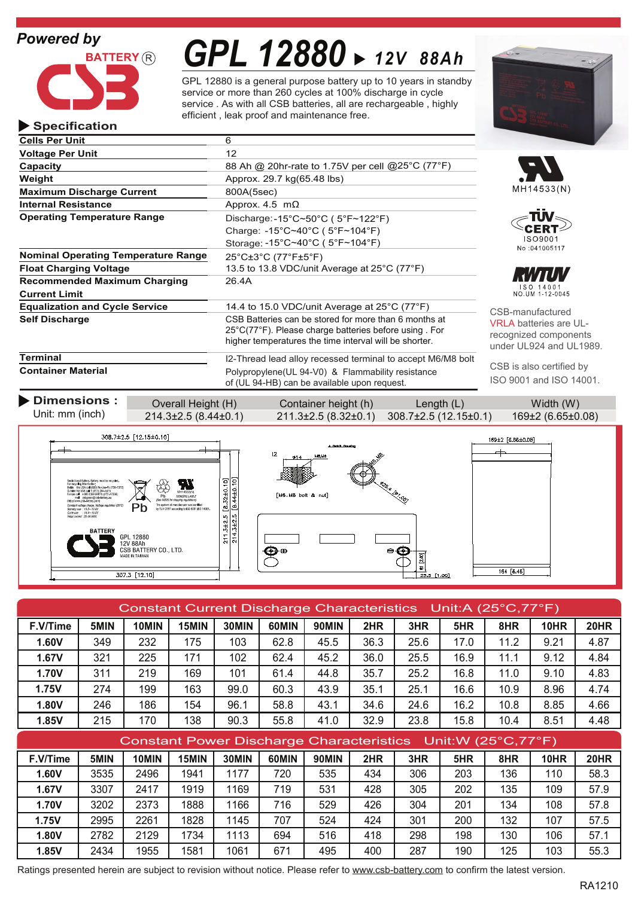### *Powered by*

**Specification**



# *GPL 12880 12V 88Ah*

GPL 12880 is a general purpose battery up to 10 years in standby service or more than 260 cycles at 100% discharge in cycle service . As with all CSB batteries, all are rechargeable , highly efficient , leak proof and maintenance free.

| <b>Cells Per Unit</b>                                       | 6                                                                                                                                                                                            |                                                        |
|-------------------------------------------------------------|----------------------------------------------------------------------------------------------------------------------------------------------------------------------------------------------|--------------------------------------------------------|
| <b>Voltage Per Unit</b>                                     | 12                                                                                                                                                                                           |                                                        |
| Capacity                                                    | 88 Ah @ 20hr-rate to 1.75V per cell @25°C (77°F)                                                                                                                                             |                                                        |
| Weight                                                      | Approx. 29.7 kg(65.48 lbs)                                                                                                                                                                   |                                                        |
| <b>Maximum Discharge Current</b>                            | 800A(5sec)                                                                                                                                                                                   | MH1453                                                 |
| <b>Internal Resistance</b>                                  | Approx. 4.5 $m\Omega$                                                                                                                                                                        |                                                        |
| <b>Operating Temperature Range</b>                          | Discharge: -15°C~50°C ( $5$ °F~122°F)<br>Charge: -15°C~40°C (5°F~104°F)                                                                                                                      | :ER                                                    |
|                                                             | Storage: -15°C~40°C (5°F~104°F)                                                                                                                                                              | <b>ISO90</b><br>No:04100                               |
| <b>Nominal Operating Temperature Range</b>                  | $25^{\circ}$ C $\pm 3^{\circ}$ C (77 $^{\circ}$ F $\pm 5^{\circ}$ F)                                                                                                                         |                                                        |
| <b>Float Charging Voltage</b>                               | 13.5 to 13.8 VDC/unit Average at 25°C (77°F)                                                                                                                                                 |                                                        |
| <b>Recommended Maximum Charging</b><br><b>Current Limit</b> | 26.4A                                                                                                                                                                                        | ISO 140<br>NO.UM 1-12                                  |
| <b>Equalization and Cycle Service</b>                       | 14.4 to 15.0 VDC/unit Average at $25^{\circ}$ C (77 $^{\circ}$ F)                                                                                                                            | CSB-manufac                                            |
| <b>Self Discharge</b>                                       | CSB Batteries can be stored for more than 6 months at<br>$25^{\circ}$ C(77 $^{\circ}$ F). Please charge batteries before using For<br>higher temperatures the time interval will be shorter. | <b>VRLA</b> batterie<br>recognized co<br>under UL924 a |
| <b>Terminal</b>                                             | I2-Thread lead alloy recessed terminal to accept M6/M8 bolt                                                                                                                                  |                                                        |
| <b>Container Material</b>                                   | Polypropylene (UL 94-V0) & Flammability resistance                                                                                                                                           | CSB is also ce                                         |

**Container Material**

**Dimensions :** Overall Height (H) Container height (h) Length (L) Width (W)



of (UL 94-HB) can be available upon request.

| Constant Current Discharge Characteristics Unit:A (25°C,77°F) |      |       |       |       |       |              |      |                                                                |      |      |             |             |
|---------------------------------------------------------------|------|-------|-------|-------|-------|--------------|------|----------------------------------------------------------------|------|------|-------------|-------------|
| F.V/Time                                                      | 5MIN | 10MIN | 15MIN | 30MIN | 60MIN | 90MIN        | 2HR  | 3HR                                                            | 5HR  | 8HR  | <b>10HR</b> | <b>20HR</b> |
| 1.60V                                                         | 349  | 232   | 175   | 103   | 62.8  | 45.5         | 36.3 | 25.6                                                           | 17.0 | 11.2 | 9.21        | 4.87        |
| 1.67V                                                         | 321  | 225   | 171   | 102   | 62.4  | 45.2         | 36.0 | 25.5                                                           | 16.9 | 11.1 | 9.12        | 4.84        |
| <b>1.70V</b>                                                  | 311  | 219   | 169   | 101   | 61.4  | 44.8         | 35.7 | 25.2                                                           | 16.8 | 11.0 | 9.10        | 4.83        |
| 1.75V                                                         | 274  | 199   | 163   | 99.0  | 60.3  | 43.9         | 35.1 | 25.1                                                           | 16.6 | 10.9 | 8.96        | 4.74        |
| 1.80V                                                         | 246  | 186   | 154   | 96.1  | 58.8  | 43.1         | 34.6 | 24.6                                                           | 16.2 | 10.8 | 8.85        | 4.66        |
| 1.85V                                                         | 215  | 170   | 138   | 90.3  | 55.8  | 41.0         | 32.9 | 23.8                                                           | 15.8 | 10.4 | 8.51        | 4.48        |
|                                                               |      |       |       |       |       |              |      |                                                                |      |      |             |             |
|                                                               |      |       |       |       |       |              |      | Constant Power Discharge Characteristics  Unit: W (25°C, 77°F) |      |      |             |             |
| F.V/Time                                                      | 5MIN | 10MIN | 15MIN | 30MIN | 60MIN | <b>90MIN</b> | 2HR  | 3HR                                                            | 5HR  | 8HR  | <b>10HR</b> | <b>20HR</b> |
| <b>1.60V</b>                                                  | 3535 | 2496  | 1941  | 1177  | 720   | 535          | 434  | 306                                                            | 203  | 136  | 110         | 58.3        |
| 1.67V                                                         | 3307 | 2417  | 1919  | 1169  | 719   | 531          | 428  | 305                                                            | 202  | 135  | 109         | 57.9        |
| <b>1.70V</b>                                                  | 3202 | 2373  | 1888  | 1166  | 716   | 529          | 426  | 304                                                            | 201  | 134  | 108         | 57.8        |
| 1.75V                                                         | 2995 | 2261  | 1828  | 1145  | 707   | 524          | 424  | 301                                                            | 200  | 132  | 107         | 57.5        |
| <b>1.80V</b>                                                  | 2782 | 2129  | 1734  | 1113  | 694   | 516          | 418  | 298                                                            | 198  | 130  | 106         | 57.1        |

Ratings presented herein are subject to revision without notice. Please refer to www.csb-battery.com to confirm the latest version.









 $H$ ured es are ULmponents and UL1989.

CSB is also certified by ISO 9001 and ISO 14001.